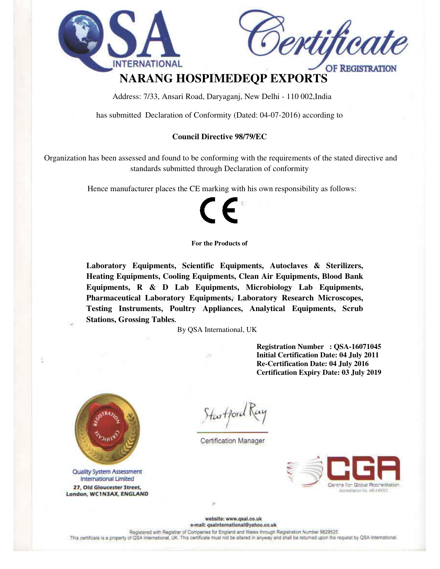



# OF REGISTRATION **NARANG HOSPIMEDEQP EXPORTS**

Address: 7/33, Ansari Road, Daryaganj, New Delhi - 110 002,India

has submitted Declaration of Conformity (Dated: 04-07-2016) according to

#### **Council Directive 98/79/EC**

 Organization has been assessed and found to be conforming with the requirements of the stated directive and standards submitted through Declaration of conformity

Hence manufacturer places the CE marking with his own responsibility as follows:



#### **For the Products of**

**Laboratory Equipments, Scientific Equipments, Autoclaves & Sterilizers, Heating Equipments, Cooling Equipments, Clean Air Equipments, Blood Bank Equipments, R & D Lab Equipments, Microbiology Lab Equipments, Pharmaceutical Laboratory Equipments, Laboratory Research Microscopes, Testing Instruments, Poultry Appliances, Analytical Equipments, Scrub Stations, Grossing Tables.** 

By QSA International, UK

**Registration Number : QSA-16071045 Initial Certification Date: 04 July 2011 Re-Certification Date: 04 July 2016 Certification Expiry Date: 03 July 2019** 



**Quality System Assessment** International Limited 27, Old Gloucester Street, London, WC1N3AX, ENGLAND

Startford

**Certification Manager** 



website: www.qsai.co.uk e-mail: qsainternational@yahoo.co.uk

Registered with Registrar of Companies for England and Wales through Registration Number 8829525

This certificate is a property of QSA International, UK. This certificate must not be altered in anyway and shall be returned upon the request by QSA International.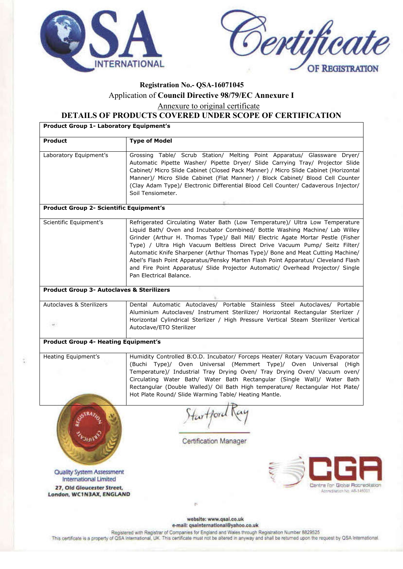



# **Registration No.- QSA-16071045** Application of **Council Directive 98/79/EC Annexure I** Annexure to original certificate

**DETAILS OF PRODUCTS COVERED UNDER SCOPE OF CERTIFICATION**

| <b>Product Group 1- Laboratory Equipment's</b>                   |                                                                                                                                                                                                                                                                                                                                                                                                                                                                                                                                                                                                                     |  |
|------------------------------------------------------------------|---------------------------------------------------------------------------------------------------------------------------------------------------------------------------------------------------------------------------------------------------------------------------------------------------------------------------------------------------------------------------------------------------------------------------------------------------------------------------------------------------------------------------------------------------------------------------------------------------------------------|--|
| <b>Product</b>                                                   | <b>Type of Model</b>                                                                                                                                                                                                                                                                                                                                                                                                                                                                                                                                                                                                |  |
| Laboratory Equipment's                                           | Grossing Table/ Scrub Station/ Melting Point Apparatus/ Glassware Dryer/<br>Automatic Pipette Washer/ Pipette Dryer/ Slide Carrying Tray/ Projector Slide<br>Cabinet/ Micro Slide Cabinet (Closed Pack Manner) / Micro Slide Cabinet (Horizontal<br>Manner)/ Micro Slide Cabinet (Flat Manner) / Block Cabinet/ Blood Cell Counter<br>(Clay Adam Type)/ Electronic Differential Blood Cell Counter/ Cadaverous Injector/<br>Soil Tensiometer.                                                                                                                                                                       |  |
| <b>Product Group 2- Scientific Equipment's</b>                   |                                                                                                                                                                                                                                                                                                                                                                                                                                                                                                                                                                                                                     |  |
| Scientific Equipment's                                           | Refrigerated Circulating Water Bath (Low Temperature)/ Ultra Low Temperature<br>Liquid Bath/ Oven and Incubator Combined/ Bottle Washing Machine/ Lab Willey<br>Grinder (Arthur H. Thomas Type)/ Ball Mill/ Electric Agate Mortar Pestle (Fisher<br>Type) / Ultra High Vacuum Beltless Direct Drive Vacuum Pump/ Seitz Filter/<br>Automatic Knife Sharpener (Arthur Thomas Type)/ Bone and Meat Cutting Machine/<br>Abel's Flash Point Apparatus/Pensky Marten Flash Point Apparatus/ Cleveland Flash<br>and Fire Point Apparatus/ Slide Projector Automatic/ Overhead Projector/ Single<br>Pan Electrical Balance. |  |
| <b>Product Group 3- Autoclaves &amp; Sterilizers</b>             |                                                                                                                                                                                                                                                                                                                                                                                                                                                                                                                                                                                                                     |  |
| Autoclaves & Sterilizers                                         | Dental Automatic Autoclaves/ Portable Stainless Steel Autoclaves/ Portable<br>Aluminium Autoclaves/ Instrument Sterilizer/ Horizontal Rectangular Sterlizer /<br>Horizontal Cylindrical Sterlizer / High Pressure Vertical Steam Sterilizer Vertical<br>Autoclave/ETO Sterilizer                                                                                                                                                                                                                                                                                                                                    |  |
| <b>Product Group 4- Heating Equipment's</b>                      |                                                                                                                                                                                                                                                                                                                                                                                                                                                                                                                                                                                                                     |  |
| Heating Equipment's                                              | Humidity Controlled B.O.D. Incubator/ Forceps Heater/ Rotary Vacuum Evaporator<br>(Buchi Type)/ Oven Universal (Memmert Type)/ Oven Universal (High<br>Temperature)/ Industrial Tray Drying Oven/ Tray Drying Oven/ Vacuum oven/<br>Circulating Water Bath/ Water Bath Rectangular (Single Wall)/ Water Bath<br>Rectangular (Double Walled)/ Oil Bath High temperature/ Rectangular Hot Plate/<br>Hot Plate Round/ Slide Warming Table/ Heating Mantle.                                                                                                                                                             |  |
|                                                                  | Hartford<br><b>Certification Manager</b>                                                                                                                                                                                                                                                                                                                                                                                                                                                                                                                                                                            |  |
| <b>Quality System Assessment</b><br><b>International Limited</b> |                                                                                                                                                                                                                                                                                                                                                                                                                                                                                                                                                                                                                     |  |
| 27, Old Gloucester Street,<br>London, WC1N3AX, ENGLAND           | Centra for Global Rooredkatio<br>Accreditation No. AB-146001<br>×                                                                                                                                                                                                                                                                                                                                                                                                                                                                                                                                                   |  |
|                                                                  |                                                                                                                                                                                                                                                                                                                                                                                                                                                                                                                                                                                                                     |  |
|                                                                  | website: www.qsal.co.uk<br>e-mail: osainternational@vahoo.co.uk                                                                                                                                                                                                                                                                                                                                                                                                                                                                                                                                                     |  |

Registered with Registrar of Companies for England and Wales through Registration Number 8829525<br>This certificate is a property of QSA International, UK. This certificate must not be altered in anyway and shall be returned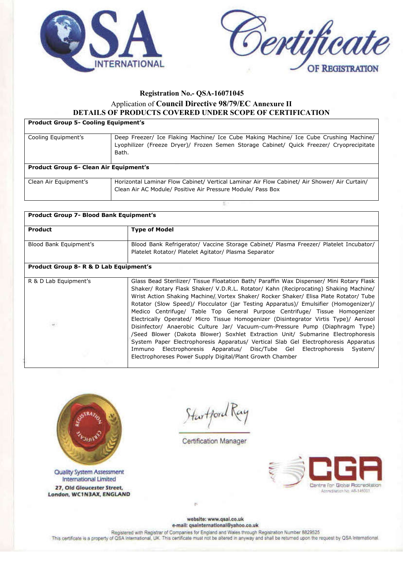



### **Registration No.- QSA-16071045**

#### Application of **Council Directive 98/79/EC Annexure II DETAILS OF PRODUCTS COVERED UNDER SCOPE OF CERTIFICATION**

# **Product Group 5- Cooling Equipment's** Cooling Equipment's Deep Freezer/ Ice Flaking Machine/ Ice Cube Making Machine/ Ice Cube Crushing Machine/ Lyophilizer (Freeze Dryer)/ Frozen Semen Storage Cabinet/ Quick Freezer/ Cryoprecipitate Bath. **Product Group 6- Clean Air Equipment's** Clean Air Equipment's Horizontal Laminar Flow Cabinet/ Vertical Laminar Air Flow Cabinet/ Air Shower/ Air Curtain/ Clean Air AC Module/ Positive Air Pressure Module/ Pass Box

| <b>Product Group 7- Blood Bank Equipment's</b>    |                                                                                          |  |
|---------------------------------------------------|------------------------------------------------------------------------------------------|--|
|                                                   |                                                                                          |  |
| <b>Product</b>                                    | <b>Type of Model</b>                                                                     |  |
|                                                   |                                                                                          |  |
| Blood Bank Equipment's                            | Blood Bank Refrigerator/ Vaccine Storage Cabinet/ Plasma Freezer/ Platelet Incubator/    |  |
|                                                   | Platelet Rotator/ Platelet Agitator/ Plasma Separator                                    |  |
|                                                   |                                                                                          |  |
| <b>Product Group 8- R &amp; D Lab Equipment's</b> |                                                                                          |  |
|                                                   |                                                                                          |  |
| R & D Lab Equipment's                             | Glass Bead Sterilizer/ Tissue Floatation Bath/ Paraffin Wax Dispenser/ Mini Rotary Flask |  |
|                                                   | Shaker/ Rotary Flask Shaker/ V.D.R.L. Rotator/ Kahn (Reciprocating) Shaking Machine/     |  |
|                                                   | Wrist Action Shaking Machine/ Vortex Shaker/ Rocker Shaker/ Elisa Plate Rotator/ Tube    |  |
|                                                   | Rotator (Slow Speed)/ Flocculator (jar Testing Apparatus)/ Emulsifier (Homogenizer)/     |  |
|                                                   | Medico Centrifuge/ Table Top General Purpose Centrifuge/ Tissue Homogenizer              |  |
|                                                   | Electrically Operated/ Micro Tissue Homogenizer (Disintegrator Virtis Type)/ Aerosol     |  |
|                                                   | Disinfector/ Anaerobic Culture Jar/ Vacuum-cum-Pressure Pump (Diaphragm Type)            |  |
|                                                   | /Seed Blower (Dakota Blower) Soxhlet Extraction Unit/ Submarine Electrophoresis          |  |
|                                                   |                                                                                          |  |
|                                                   | System Paper Electrophoresis Apparatus/ Vertical Slab Gel Electrophoresis Apparatus      |  |
|                                                   | Immuno Electrophoresis Apparatus/ Disc/Tube Gel Electrophoresis System/                  |  |
|                                                   | Electrophoreses Power Supply Digital/Plant Growth Chamber                                |  |
|                                                   |                                                                                          |  |



**Quality System Assessment International Limited** 27, Old Gloucester Street, London, WC1N3AX, ENGLAND

Startford

Certification Manager



website: www.qsal.co.uk e-mail: qsainternational@yahoo.co.uk

Registered with Registrar of Companies for England and Wales through Registration Number 8829525

This certificate is a property of QSA International, UK. This certificate must not be altered in anyway and shall be returned upon the request by QSA International.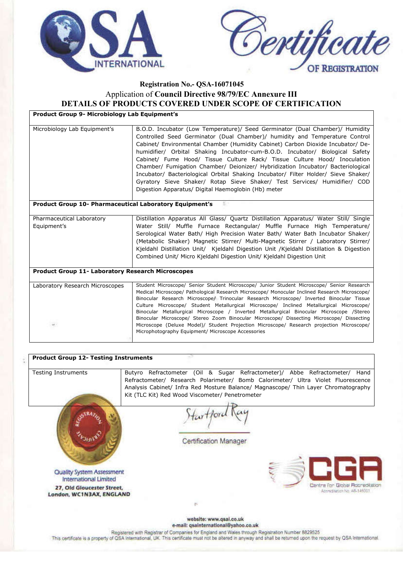



#### **Registration No.- QSA-16071045** Application of **Council Directive 98/79/EC Annexure III DETAILS OF PRODUCTS COVERED UNDER SCOPE OF CERTIFICATION**

**Product Group 9- Microbiology Lab Equipment's**

| Microbiology Lab Equipment's                             | B.O.D. Incubator (Low Temperature)/ Seed Germinator (Dual Chamber)/ Humidity<br>Controlled Seed Germinator (Dual Chamber)/ humidity and Temperature Control<br>Cabinet/ Environmental Chamber (Humidity Cabinet) Carbon Dioxide Incubator/ De-<br>humidifier/ Orbital Shaking Incubator-cum-B.O.D. Incubator/ Biological Safety<br>Cabinet/ Fume Hood/ Tissue Culture Rack/ Tissue Culture Hood/ Inoculation<br>Chamber/ Fumigation Chamber/ Deionizer/ Hybridization Incubator/ Bacteriological<br>Incubator/ Bacteriological Orbital Shaking Incubator/ Filter Holder/ Sieve Shaker/<br>Gyratory Sieve Shaker/ Rotap Sieve Shaker/ Test Services/ Humidifier/ COD<br>Digestion Apparatus/ Digital Haemoglobin (Hb) meter |  |  |
|----------------------------------------------------------|----------------------------------------------------------------------------------------------------------------------------------------------------------------------------------------------------------------------------------------------------------------------------------------------------------------------------------------------------------------------------------------------------------------------------------------------------------------------------------------------------------------------------------------------------------------------------------------------------------------------------------------------------------------------------------------------------------------------------|--|--|
| Product Group 10- Pharmaceutical Laboratory Equipment's  |                                                                                                                                                                                                                                                                                                                                                                                                                                                                                                                                                                                                                                                                                                                            |  |  |
|                                                          |                                                                                                                                                                                                                                                                                                                                                                                                                                                                                                                                                                                                                                                                                                                            |  |  |
| Pharmaceutical Laboratory                                | Distillation Apparatus All Glass/ Quartz Distillation Apparatus/ Water Still/ Single                                                                                                                                                                                                                                                                                                                                                                                                                                                                                                                                                                                                                                       |  |  |
| Equipment's                                              | Water Still/ Muffle Furnace Rectangular/ Muffle Furnace High Temperature/                                                                                                                                                                                                                                                                                                                                                                                                                                                                                                                                                                                                                                                  |  |  |
|                                                          | Serological Water Bath/ High Precision Water Bath/ Water Bath Incubator Shaker/                                                                                                                                                                                                                                                                                                                                                                                                                                                                                                                                                                                                                                            |  |  |
|                                                          | (Metabolic Shaker) Magnetic Stirrer/ Multi-Magnetic Stirrer / Laboratory Stirrer/                                                                                                                                                                                                                                                                                                                                                                                                                                                                                                                                                                                                                                          |  |  |
|                                                          | Kjeldahl Distillation Unit/ Kjeldahl Digestion Unit /Kjeldahl Distillation & Digestion                                                                                                                                                                                                                                                                                                                                                                                                                                                                                                                                                                                                                                     |  |  |
|                                                          | Combined Unit/ Micro Kjeldahl Digestion Unit/ Kjeldahl Digestion Unit                                                                                                                                                                                                                                                                                                                                                                                                                                                                                                                                                                                                                                                      |  |  |
| <b>Product Group 11- Laboratory Research Microscopes</b> |                                                                                                                                                                                                                                                                                                                                                                                                                                                                                                                                                                                                                                                                                                                            |  |  |
|                                                          |                                                                                                                                                                                                                                                                                                                                                                                                                                                                                                                                                                                                                                                                                                                            |  |  |
| Laboratory Research Microscopes                          | Student Microscope/ Senior Student Microscope/ Junior Student Microscope/ Senior Research                                                                                                                                                                                                                                                                                                                                                                                                                                                                                                                                                                                                                                  |  |  |
|                                                          | Medical Microscope/ Pathological Research Microscope/ Monocular Inclined Research Microscope/<br>Binocular Research Microscope/ Trinocular Research Microscope/ Inverted Binocular Tissue                                                                                                                                                                                                                                                                                                                                                                                                                                                                                                                                  |  |  |
|                                                          | Culture Microscope/ Student Metallurgical Microscope/ Inclined Metallurgical Microscope/                                                                                                                                                                                                                                                                                                                                                                                                                                                                                                                                                                                                                                   |  |  |
|                                                          | Binocular Metallurgical Microscope / Inverted Metallurgical Binocular Microscope /Stereo                                                                                                                                                                                                                                                                                                                                                                                                                                                                                                                                                                                                                                   |  |  |
|                                                          | Binocular Microscope/ Stereo Zoom Binocular Microscope/ Dissecting Microscope/ Dissecting                                                                                                                                                                                                                                                                                                                                                                                                                                                                                                                                                                                                                                  |  |  |
| $\frac{1}{2}$                                            | Microscope (Deluxe Model)/ Student Projection Microscope/ Research projection Microscope/<br>Microphotography Equipment/ Microscope Accessories                                                                                                                                                                                                                                                                                                                                                                                                                                                                                                                                                                            |  |  |
|                                                          |                                                                                                                                                                                                                                                                                                                                                                                                                                                                                                                                                                                                                                                                                                                            |  |  |

| <b>Testing Instruments</b>       | Butyro Refractometer (Oil & Sugar Refractometer)/ Abbe Refractometer/<br>Hand      |
|----------------------------------|------------------------------------------------------------------------------------|
|                                  | Refractometer/ Research Polarimeter/ Bomb Calorimeter/ Ultra Violet Fluorescence   |
|                                  | Analysis Cabinet/ Infra Red Mosture Balance/ Magnascope/ Thin Layer Chromatography |
|                                  | Kit (TLC Kit) Red Wood Viscometer/ Penetrometer                                    |
|                                  |                                                                                    |
|                                  |                                                                                    |
|                                  |                                                                                    |
|                                  |                                                                                    |
|                                  |                                                                                    |
|                                  | Certification Manager                                                              |
|                                  |                                                                                    |
|                                  |                                                                                    |
|                                  |                                                                                    |
| <b>Quality System Assessment</b> |                                                                                    |
| International Limited            |                                                                                    |
| 27, Old Gloucester Street,       | Centre for Global Rocreditation<br>Apereditation No. AB-146001                     |
| London, WC1N3AX, ENGLAND         |                                                                                    |
|                                  |                                                                                    |
|                                  | website: www.qsai.co.uk                                                            |

This certificate is a property of QSA International, UK. This certificate must not be altered in anyway and shall be returned upon the request by QSA International.